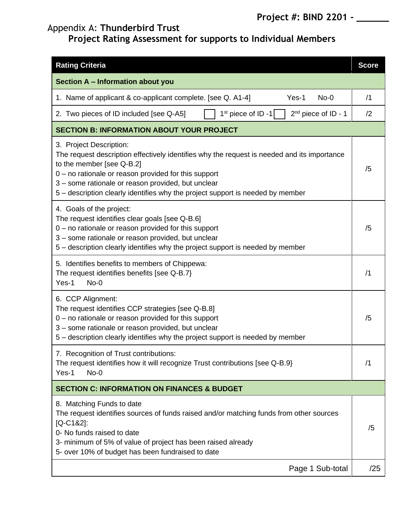## Appendix A: **Thunderbird Trust**

## **Project Rating Assessment for supports to Individual Members**

| <b>Rating Criteria</b>                                                                                                                                                                                                                                                                                                                                | <b>Score</b> |  |  |  |
|-------------------------------------------------------------------------------------------------------------------------------------------------------------------------------------------------------------------------------------------------------------------------------------------------------------------------------------------------------|--------------|--|--|--|
| Section A - Information about you                                                                                                                                                                                                                                                                                                                     |              |  |  |  |
| 1. Name of applicant & co-applicant complete. [see Q. A1-4]<br>$Yes-1$<br>$No-0$                                                                                                                                                                                                                                                                      | /1           |  |  |  |
| $1st$ piece of ID -1<br>$2nd$ piece of ID - 1<br>2. Two pieces of ID included [see Q-A5]                                                                                                                                                                                                                                                              | /2           |  |  |  |
| <b>SECTION B: INFORMATION ABOUT YOUR PROJECT</b>                                                                                                                                                                                                                                                                                                      |              |  |  |  |
| 3. Project Description:<br>The request description effectively identifies why the request is needed and its importance<br>to the member [see Q-B.2]<br>$0$ – no rationale or reason provided for this support<br>3 - some rationale or reason provided, but unclear<br>5 – description clearly identifies why the project support is needed by member | /5           |  |  |  |
| 4. Goals of the project:<br>The request identifies clear goals [see Q-B.6]<br>$0$ – no rationale or reason provided for this support<br>3 - some rationale or reason provided, but unclear<br>5 – description clearly identifies why the project support is needed by member                                                                          | /5           |  |  |  |
| 5. Identifies benefits to members of Chippewa:<br>The request identifies benefits [see Q-B.7]<br>Yes-1<br>$No-0$                                                                                                                                                                                                                                      |              |  |  |  |
| 6. CCP Alignment:<br>The request identifies CCP strategies [see Q-B.8]<br>$0$ – no rationale or reason provided for this support<br>3 - some rationale or reason provided, but unclear<br>5 – description clearly identifies why the project support is needed by member                                                                              |              |  |  |  |
| 7. Recognition of Trust contributions:<br>The request identifies how it will recognize Trust contributions [see Q-B.9}<br>Yes-1<br>$No-0$                                                                                                                                                                                                             |              |  |  |  |
| <b>SECTION C: INFORMATION ON FINANCES &amp; BUDGET</b>                                                                                                                                                                                                                                                                                                |              |  |  |  |
| 8. Matching Funds to date<br>The request identifies sources of funds raised and/or matching funds from other sources<br>$[Q-C182]$ :<br>0- No funds raised to date<br>3- minimum of 5% of value of project has been raised already<br>5- over 10% of budget has been fundraised to date                                                               | /5           |  |  |  |
| Page 1 Sub-total                                                                                                                                                                                                                                                                                                                                      | /25          |  |  |  |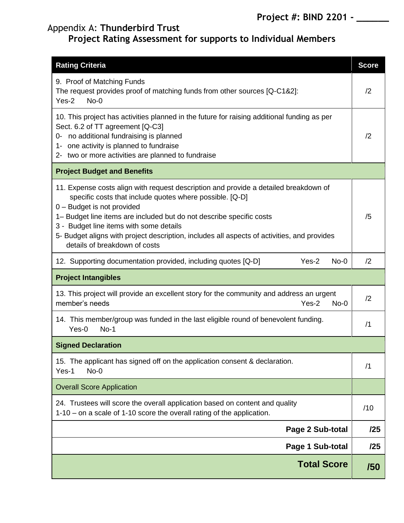## Appendix A: **Thunderbird Trust**

## **Project Rating Assessment for supports to Individual Members**

| <b>Rating Criteria</b>                                                                                                                                                                                                                                                                                                                                                                                                            | <b>Score</b> |  |  |
|-----------------------------------------------------------------------------------------------------------------------------------------------------------------------------------------------------------------------------------------------------------------------------------------------------------------------------------------------------------------------------------------------------------------------------------|--------------|--|--|
| 9. Proof of Matching Funds<br>The request provides proof of matching funds from other sources [Q-C1&2]:<br>$Yes-2$<br>$No-0$                                                                                                                                                                                                                                                                                                      |              |  |  |
| 10. This project has activities planned in the future for raising additional funding as per<br>Sect. 6.2 of TT agreement [Q-C3]<br>no additional fundraising is planned<br>0-<br>1- one activity is planned to fundraise<br>2- two or more activities are planned to fundraise                                                                                                                                                    |              |  |  |
| <b>Project Budget and Benefits</b>                                                                                                                                                                                                                                                                                                                                                                                                |              |  |  |
| 11. Expense costs align with request description and provide a detailed breakdown of<br>specific costs that include quotes where possible. [Q-D]<br>0 - Budget is not provided<br>1- Budget line items are included but do not describe specific costs<br>3 - Budget line items with some details<br>5- Budget aligns with project description, includes all aspects of activities, and provides<br>details of breakdown of costs | /5           |  |  |
| Yes-2<br>$No-0$<br>12. Supporting documentation provided, including quotes [Q-D]                                                                                                                                                                                                                                                                                                                                                  | /2           |  |  |
| <b>Project Intangibles</b>                                                                                                                                                                                                                                                                                                                                                                                                        |              |  |  |
| 13. This project will provide an excellent story for the community and address an urgent<br>member's needs<br>$Yes-2$<br>$No-0$                                                                                                                                                                                                                                                                                                   |              |  |  |
| 14. This member/group was funded in the last eligible round of benevolent funding.<br>$Yes-0$<br>$No-1$                                                                                                                                                                                                                                                                                                                           |              |  |  |
| <b>Signed Declaration</b>                                                                                                                                                                                                                                                                                                                                                                                                         |              |  |  |
| 15. The applicant has signed off on the application consent & declaration.<br>Yes-1<br>$No-0$                                                                                                                                                                                                                                                                                                                                     |              |  |  |
| <b>Overall Score Application</b>                                                                                                                                                                                                                                                                                                                                                                                                  |              |  |  |
| 24. Trustees will score the overall application based on content and quality<br>1-10 – on a scale of 1-10 score the overall rating of the application.                                                                                                                                                                                                                                                                            |              |  |  |
| Page 2 Sub-total                                                                                                                                                                                                                                                                                                                                                                                                                  | /25          |  |  |
| Page 1 Sub-total                                                                                                                                                                                                                                                                                                                                                                                                                  | /25          |  |  |
| <b>Total Score</b>                                                                                                                                                                                                                                                                                                                                                                                                                | /50          |  |  |